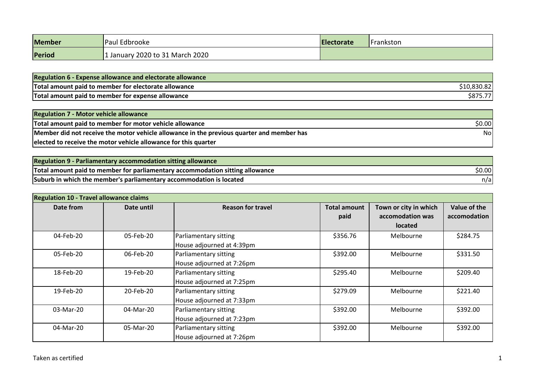| Member | Paul Edbrooke                 | <b>Electorate</b> | <b>IFrankston</b> |
|--------|-------------------------------|-------------------|-------------------|
| Period | Uanuary 2020 to 31 March 2020 |                   |                   |

| <b>Regulation 6 - Expense allowance and electorate allowance</b> |  |
|------------------------------------------------------------------|--|
| Total amount paid to member for electorate allowance             |  |
| Total amount paid to member for expense allowance                |  |

| <b>Regulation 7 - Motor vehicle allowance</b>                                             |        |
|-------------------------------------------------------------------------------------------|--------|
| Total amount paid to member for motor vehicle allowance                                   | \$0.00 |
| Member did not receive the motor vehicle allowance in the previous quarter and member has | Nol    |
| elected to receive the motor vehicle allowance for this quarter                           |        |

| <b>Regulation 9 - Parliamentary accommodation sitting allowance</b>           |        |
|-------------------------------------------------------------------------------|--------|
| Total amount paid to member for parliamentary accommodation sitting allowance | \$0.00 |
| Suburb in which the member's parliamentary accommodation is located           | n/a    |

| <b>Regulation 10 - Travel allowance claims</b> |            |                           |                     |                       |              |
|------------------------------------------------|------------|---------------------------|---------------------|-----------------------|--------------|
| Date from                                      | Date until | <b>Reason for travel</b>  | <b>Total amount</b> | Town or city in which | Value of the |
|                                                |            |                           | paid                | accomodation was      | accomodation |
|                                                |            |                           |                     | <b>located</b>        |              |
| 04-Feb-20                                      | 05-Feb-20  | Parliamentary sitting     | \$356.76            | Melbourne             | \$284.75     |
|                                                |            | House adjourned at 4:39pm |                     |                       |              |
| 05-Feb-20                                      | 06-Feb-20  | Parliamentary sitting     | \$392.00            | Melbourne             | \$331.50     |
|                                                |            | House adjourned at 7:26pm |                     |                       |              |
| 18-Feb-20                                      | 19-Feb-20  | Parliamentary sitting     | \$295.40            | Melbourne             | \$209.40     |
|                                                |            | House adjourned at 7:25pm |                     |                       |              |
| 19-Feb-20                                      | 20-Feb-20  | Parliamentary sitting     | \$279.09            | Melbourne             | \$221.40     |
|                                                |            | House adjourned at 7:33pm |                     |                       |              |
| 03-Mar-20                                      | 04-Mar-20  | Parliamentary sitting     | \$392.00            | Melbourne             | \$392.00     |
|                                                |            | House adjourned at 7:23pm |                     |                       |              |
| 04-Mar-20                                      | 05-Mar-20  | Parliamentary sitting     | \$392.00            | Melbourne             | \$392.00     |
|                                                |            | House adjourned at 7:26pm |                     |                       |              |